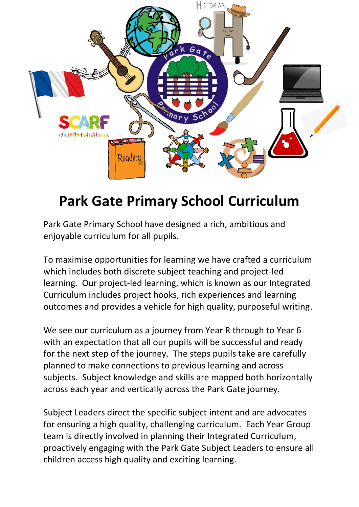

## **Park Gate Primary School Curriculum**

Park Gate Primary School have designed a rich, ambitious and enjoyable curriculum for all pupils.

To maximise opportunities for learning we have crafted a curriculum which includes both discrete subject teaching and project-led learning. Our project-led learning, which is known as our Integrated Curriculum includes project hooks, rich experiences and learning outcomes and provides a vehicle for high quality, purposeful writing.

We see our curriculum as a journey from Year R through to Year 6 with an expectation that all our pupils will be successful and ready for the next step of the journey. The steps pupils take are carefully planned to make connections to previous learning and across subjects. Subject knowledge and skills are mapped both horizontally across each year and vertically across the Park Gate journey.

Subject Leaders direct the specific subject intent and are advocates for ensuring a high quality, challenging curriculum. Each Year Group team is directly involved in planning their Integrated Curriculum, proactively engaging with the Park Gate Subject Leaders to ensure all children access high quality and exciting learning.